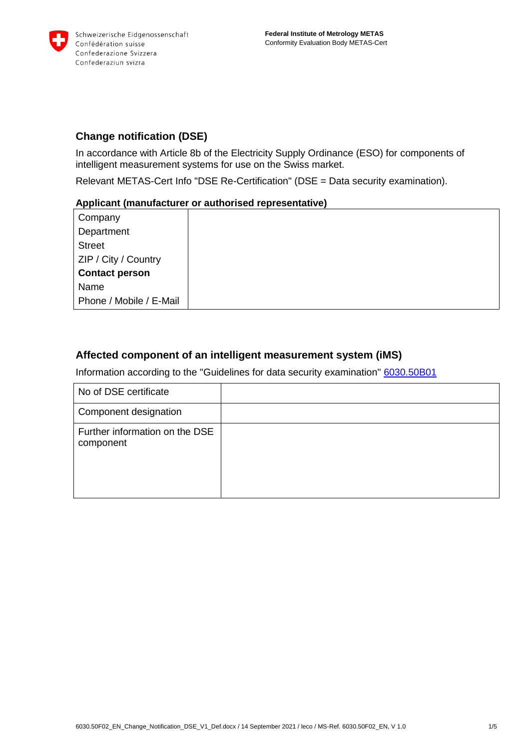

# **Change notification (DSE)**

In accordance with Article 8b of the Electricity Supply Ordinance (ESO) for components of intelligent measurement systems for use on the Swiss market.

Relevant METAS-Cert Info "DSE Re-Certification" (DSE = Data security examination).

### **Applicant (manufacturer or authorised representative)**

Company **Department Street** ZIP / City / Country **Contact person** Name Phone / Mobile / E-Mail

# **Affected component of an intelligent measurement system (iMS)**

Information according to the "Guidelines for data security examination" [6030.50B01](https://www.metas.ch/dam/metas/en/data/dienstleistungen/metas-cert/Datensicherheit/6030-50b01-guideline_dsv-e.pdf)

| No of DSE certificate                       |  |
|---------------------------------------------|--|
| Component designation                       |  |
| Further information on the DSE<br>component |  |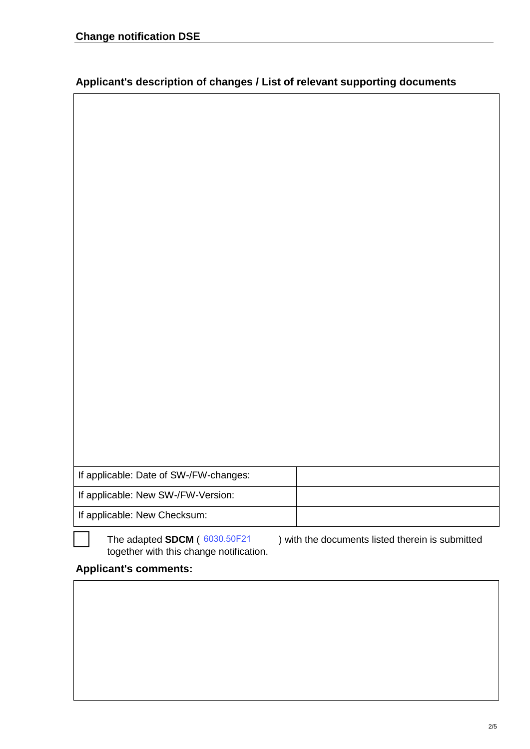| If applicable: Date of SW-/FW-changes: |  |  |
|----------------------------------------|--|--|
| If applicable: New SW-/FW-Version:     |  |  |
| If applicable: New Checksum:           |  |  |

together with this change notification. The adapted **SDCM** (6030.50F21

The adapted **SDCM** (  $\frac{6030.50F21}{2}$  ) with the documents listed therein is submitted

# **Applicant's comments:**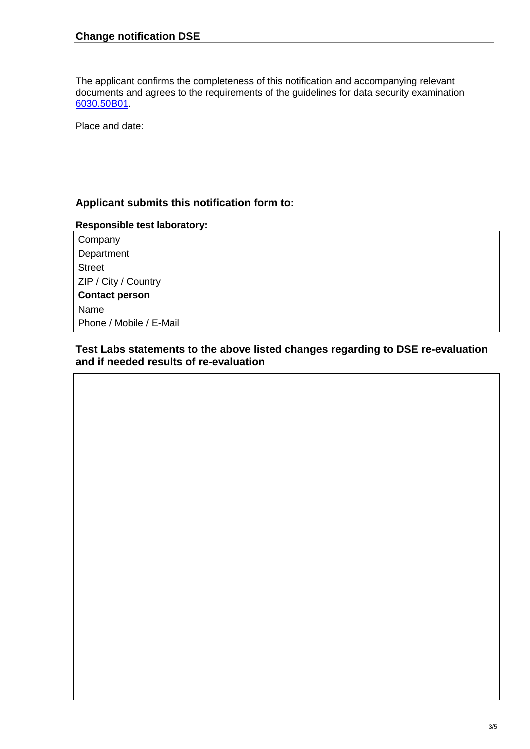The applicant confirms the completeness of this notification and accompanying relevant documents and agrees to the requirements of the guidelines for data security examination [6030.50B01.](https://www.metas.ch/dam/metas/en/data/dienstleistungen/metas-cert/Datensicherheit/6030-50b01-guideline_dsv-e.pdf)

Place and date:

# **Applicant submits this notification form to:**

#### **Responsible test laboratory:**

| Company                 |  |
|-------------------------|--|
| Department              |  |
| <b>Street</b>           |  |
| ZIP / City / Country    |  |
| <b>Contact person</b>   |  |
| Name                    |  |
| Phone / Mobile / E-Mail |  |

## **Test Labs statements to the above listed changes regarding to DSE re-evaluation and if needed results of re-evaluation**

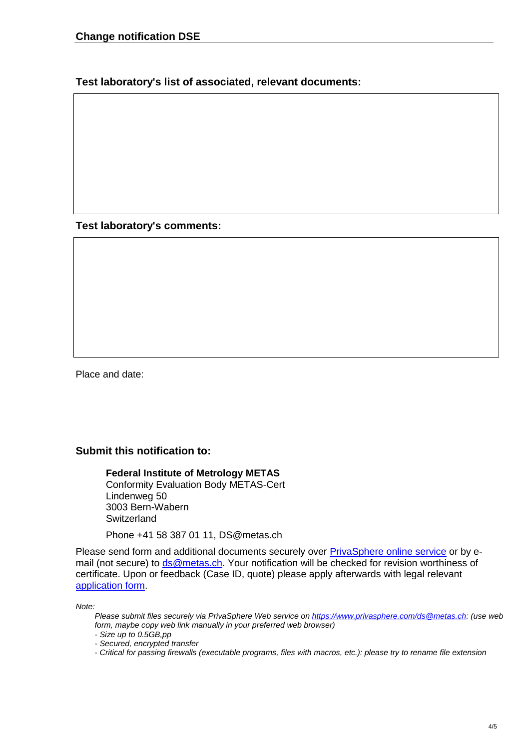**Test laboratory's list of associated, relevant documents:**

**Test laboratory's comments:**

Place and date:

### **Submit this notification to:**

**Federal Institute of Metrology METAS** Conformity Evaluation Body METAS-Cert Lindenweg 50 3003 Bern-Wabern **Switzerland** 

Phone +41 58 387 01 11, DS@metas.ch

Please send form and additional documents securely over [PrivaSphere online service](https://www.privasphere.com/) or by email (not secure) to [ds@metas.ch.](mailto:ds@metas.ch) Your notification will be checked for revision worthiness of certificate. Upon or feedback (Case ID, quote) please apply afterwards with legal relevant [application form.](https://www.metas.ch/dam/metas/de/data/dienstleistungen/metas-cert/Datensicherheit/6030-50f01-antragformular_datensicherheit-d.pdf.download.pdf/6030-50f01-antragformular_datensicherheit-d.pdf)

*Note:*

- *- Size up to 0.5GB,pp*
- *- Secured, encrypted transfer*
- *- Critical for passing firewalls (executable programs, files with macros, etc.): please try to rename file extension*

*Please submit files securely via PrivaSphere Web service on [https://www.privasphere.com/ds@metas.ch:](https://www.privasphere.com/ds@metas.ch) (use web form, maybe copy web link manually in your preferred web browser)*